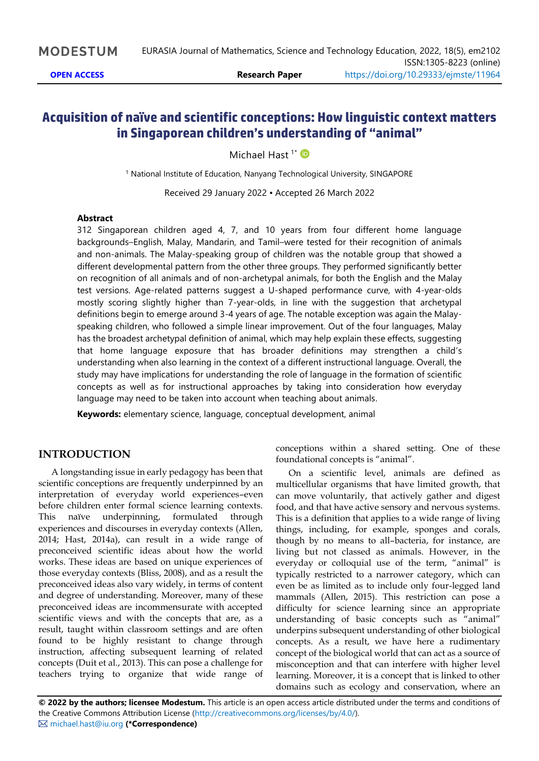# **Acquisition of naïve and scientific conceptions: How linguistic context matters in Singaporean children's understanding of "animal"**

Michael Hast<sup>1\*</sup>

<sup>1</sup> National Institute of Education, Nanyang Technological University, SINGAPORE

Received 29 January 2022 ▪ Accepted 26 March 2022

### **Abstract**

312 Singaporean children aged 4, 7, and 10 years from four different home language backgrounds–English, Malay, Mandarin, and Tamil–were tested for their recognition of animals and non-animals. The Malay-speaking group of children was the notable group that showed a different developmental pattern from the other three groups. They performed significantly better on recognition of all animals and of non-archetypal animals, for both the English and the Malay test versions. Age-related patterns suggest a U-shaped performance curve, with 4-year-olds mostly scoring slightly higher than 7-year-olds, in line with the suggestion that archetypal definitions begin to emerge around 3-4 years of age. The notable exception was again the Malayspeaking children, who followed a simple linear improvement. Out of the four languages, Malay has the broadest archetypal definition of animal, which may help explain these effects, suggesting that home language exposure that has broader definitions may strengthen a child's understanding when also learning in the context of a different instructional language. Overall, the study may have implications for understanding the role of language in the formation of scientific concepts as well as for instructional approaches by taking into consideration how everyday language may need to be taken into account when teaching about animals.

**Keywords:** elementary science, language, conceptual development, animal

## **INTRODUCTION**

A longstanding issue in early pedagogy has been that scientific conceptions are frequently underpinned by an interpretation of everyday world experiences–even before children enter formal science learning contexts. This naïve underpinning, formulated through experiences and discourses in everyday contexts (Allen, 2014; Hast, 2014a), can result in a wide range of preconceived scientific ideas about how the world works. These ideas are based on unique experiences of those everyday contexts (Bliss, 2008), and as a result the preconceived ideas also vary widely, in terms of content and degree of understanding. Moreover, many of these preconceived ideas are incommensurate with accepted scientific views and with the concepts that are, as a result, taught within classroom settings and are often found to be highly resistant to change through instruction, affecting subsequent learning of related concepts (Duit et al., 2013). This can pose a challenge for teachers trying to organize that wide range of

conceptions within a shared setting. One of these foundational concepts is "animal".

On a scientific level, animals are defined as multicellular organisms that have limited growth, that can move voluntarily, that actively gather and digest food, and that have active sensory and nervous systems. This is a definition that applies to a wide range of living things, including, for example, sponges and corals, though by no means to all–bacteria, for instance, are living but not classed as animals. However, in the everyday or colloquial use of the term, "animal" is typically restricted to a narrower category, which can even be as limited as to include only four-legged land mammals (Allen, 2015). This restriction can pose a difficulty for science learning since an appropriate understanding of basic concepts such as "animal" underpins subsequent understanding of other biological concepts. As a result, we have here a rudimentary concept of the biological world that can act as a source of misconception and that can interfere with higher level learning. Moreover, it is a concept that is linked to other domains such as ecology and conservation, where an

**© 2022 by the authors; licensee Modestum.** This article is an open access article distributed under the terms and conditions of the Creative Commons Attribution License [\(http://creativecommons.org/licenses/by/4.0/\)](http://creativecommons.org/licenses/by/4.0/). [michael.hast@iu.org](mailto:michael.hast@iu.org) **(\*Correspondence)**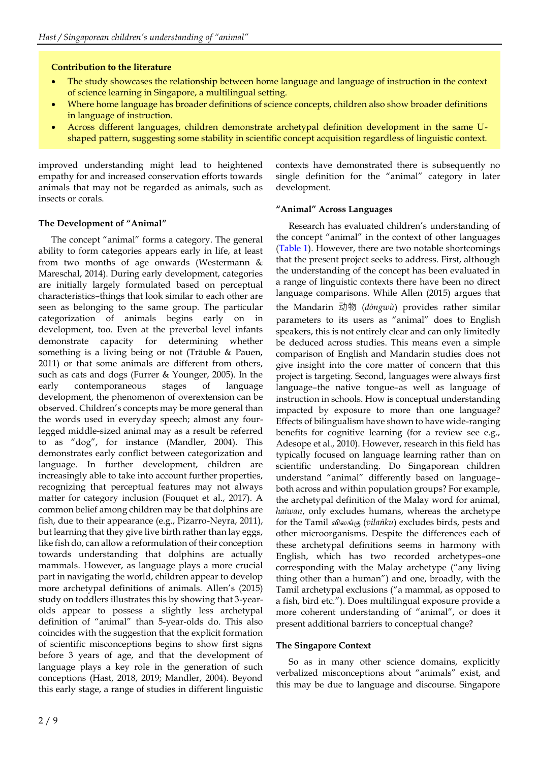## **Contribution to the literature**

- The study showcases the relationship between home language and language of instruction in the context of science learning in Singapore, a multilingual setting.
- Where home language has broader definitions of science concepts, children also show broader definitions in language of instruction.
- Across different languages, children demonstrate archetypal definition development in the same Ushaped pattern, suggesting some stability in scientific concept acquisition regardless of linguistic context.

improved understanding might lead to heightened empathy for and increased conservation efforts towards animals that may not be regarded as animals, such as insects or corals.

## **The Development of "Animal"**

The concept "animal" forms a category. The general ability to form categories appears early in life, at least from two months of age onwards (Westermann & Mareschal, 2014). During early development, categories are initially largely formulated based on perceptual characteristics–things that look similar to each other are seen as belonging to the same group. The particular categorization of animals begins early on in development, too. Even at the preverbal level infants demonstrate capacity for determining whether something is a living being or not (Träuble & Pauen, 2011) or that some animals are different from others, such as cats and dogs (Furrer & Younger, 2005). In the early contemporaneous stages of language development, the phenomenon of overextension can be observed. Children's concepts may be more general than the words used in everyday speech; almost any fourlegged middle-sized animal may as a result be referred to as "dog", for instance (Mandler, 2004). This demonstrates early conflict between categorization and language. In further development, children are increasingly able to take into account further properties, recognizing that perceptual features may not always matter for category inclusion (Fouquet et al., 2017). A common belief among children may be that dolphins are fish, due to their appearance (e.g., Pizarro-Neyra, 2011), but learning that they give live birth rather than lay eggs, like fish do, can allow a reformulation of their conception towards understanding that dolphins are actually mammals. However, as language plays a more crucial part in navigating the world, children appear to develop more archetypal definitions of animals. Allen's (2015) study on toddlers illustrates this by showing that 3-yearolds appear to possess a slightly less archetypal definition of "animal" than 5-year-olds do. This also coincides with the suggestion that the explicit formation of scientific misconceptions begins to show first signs before 3 years of age, and that the development of language plays a key role in the generation of such conceptions (Hast, 2018, 2019; Mandler, 2004). Beyond this early stage, a range of studies in different linguistic

contexts have demonstrated there is subsequently no single definition for the "animal" category in later development.

## **"Animal" Across Languages**

Research has evaluated children's understanding of the concept "animal" in the context of other languages (Table 1). However, there are two notable shortcomings that the present project seeks to address. First, although the understanding of the concept has been evaluated in a range of linguistic contexts there have been no direct language comparisons. While Allen (2015) argues that the Mandarin 动物 (*dòngwù*) provides rather similar parameters to its users as "animal" does to English speakers, this is not entirely clear and can only limitedly be deduced across studies. This means even a simple comparison of English and Mandarin studies does not give insight into the core matter of concern that this project is targeting. Second, languages were always first language–the native tongue–as well as language of instruction in schools. How is conceptual understanding impacted by exposure to more than one language? Effects of bilingualism have shown to have wide-ranging benefits for cognitive learning (for a review see e.g., Adesope et al., 2010). However, research in this field has typically focused on language learning rather than on scientific understanding. Do Singaporean children understand "animal" differently based on language– both across and within population groups? For example, the archetypal definition of the Malay word for animal, *haiwan*, only excludes humans, whereas the archetype for the Tamil *விலங்கு* (*vilaṅku*) excludes birds, pests and other microorganisms. Despite the differences each of these archetypal definitions seems in harmony with English, which has two recorded archetypes–one corresponding with the Malay archetype ("any living thing other than a human") and one, broadly, with the Tamil archetypal exclusions ("a mammal, as opposed to a fish, bird etc."). Does multilingual exposure provide a more coherent understanding of "animal", or does it present additional barriers to conceptual change?

## **The Singapore Context**

So as in many other science domains, explicitly verbalized misconceptions about "animals" exist, and this may be due to language and discourse. Singapore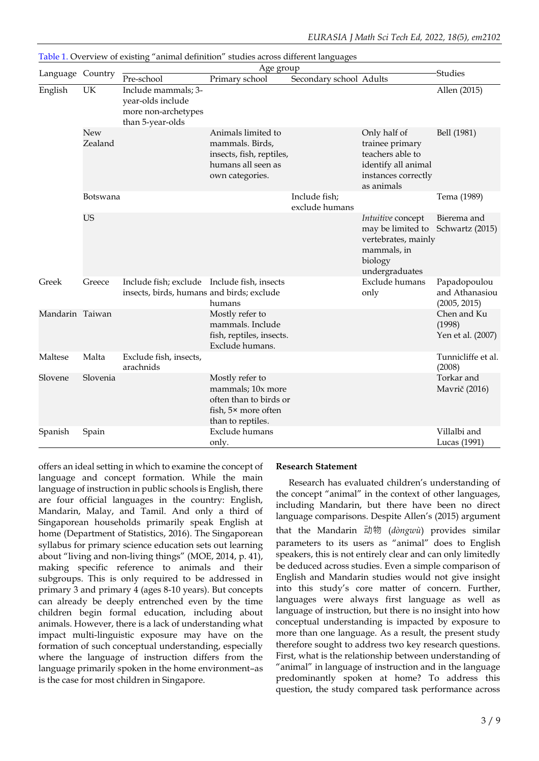| Language Country |                | Age group                                                                                |                                                                                                            |                                 |                                                                                                                 |                                                |
|------------------|----------------|------------------------------------------------------------------------------------------|------------------------------------------------------------------------------------------------------------|---------------------------------|-----------------------------------------------------------------------------------------------------------------|------------------------------------------------|
|                  |                | Pre-school                                                                               | Primary school                                                                                             | Secondary school Adults         |                                                                                                                 | <b>Studies</b>                                 |
| English          | UK             | Include mammals; 3-<br>year-olds include<br>more non-archetypes<br>than 5-year-olds      |                                                                                                            |                                 |                                                                                                                 | Allen (2015)                                   |
|                  | New<br>Zealand |                                                                                          | Animals limited to<br>mammals. Birds,<br>insects, fish, reptiles,<br>humans all seen as<br>own categories. |                                 | Only half of<br>trainee primary<br>teachers able to<br>identify all animal<br>instances correctly<br>as animals | Bell (1981)                                    |
|                  | Botswana       |                                                                                          |                                                                                                            | Include fish;<br>exclude humans |                                                                                                                 | Tema (1989)                                    |
|                  | US             |                                                                                          |                                                                                                            |                                 | Intuitive concept<br>may be limited to<br>vertebrates, mainly<br>mammals, in<br>biology<br>undergraduates       | Bierema and<br>Schwartz (2015)                 |
| Greek            | Greece         | Include fish; exclude Include fish, insects<br>insects, birds, humans and birds; exclude | humans                                                                                                     |                                 | Exclude humans<br>only                                                                                          | Papadopoulou<br>and Athanasiou<br>(2005, 2015) |
| Mandarin Taiwan  |                |                                                                                          | Mostly refer to<br>mammals. Include<br>fish, reptiles, insects.<br>Exclude humans.                         |                                 |                                                                                                                 | Chen and Ku<br>(1998)<br>Yen et al. (2007)     |
| Maltese          | Malta          | Exclude fish, insects,<br>arachnids                                                      |                                                                                                            |                                 |                                                                                                                 | Tunnicliffe et al.<br>(2008)                   |
| Slovene          | Slovenia       |                                                                                          | Mostly refer to<br>mammals; 10x more<br>often than to birds or<br>fish, 5× more often<br>than to reptiles. |                                 |                                                                                                                 | Torkar and<br>Mavrič (2016)                    |
| Spanish          | Spain          |                                                                                          | Exclude humans<br>only.                                                                                    |                                 |                                                                                                                 | Villalbi and<br>Lucas (1991)                   |

Table 1. Overview of existing "animal definition" studies across different languages

offers an ideal setting in which to examine the concept of language and concept formation. While the main language of instruction in public schools is English, there are four official languages in the country: English, Mandarin, Malay, and Tamil. And only a third of Singaporean households primarily speak English at home (Department of Statistics, 2016). The Singaporean syllabus for primary science education sets out learning about "living and non-living things" (MOE, 2014, p. 41), making specific reference to animals and their subgroups. This is only required to be addressed in primary 3 and primary 4 (ages 8-10 years). But concepts can already be deeply entrenched even by the time children begin formal education, including about animals. However, there is a lack of understanding what impact multi-linguistic exposure may have on the formation of such conceptual understanding, especially where the language of instruction differs from the language primarily spoken in the home environment–as is the case for most children in Singapore.

### **Research Statement**

Research has evaluated children's understanding of the concept "animal" in the context of other languages, including Mandarin, but there have been no direct language comparisons. Despite Allen's (2015) argument that the Mandarin 动物 (*dòngwù*) provides similar parameters to its users as "animal" does to English speakers, this is not entirely clear and can only limitedly be deduced across studies. Even a simple comparison of English and Mandarin studies would not give insight into this study's core matter of concern. Further, languages were always first language as well as language of instruction, but there is no insight into how conceptual understanding is impacted by exposure to more than one language. As a result, the present study therefore sought to address two key research questions. First, what is the relationship between understanding of "animal" in language of instruction and in the language predominantly spoken at home? To address this question, the study compared task performance across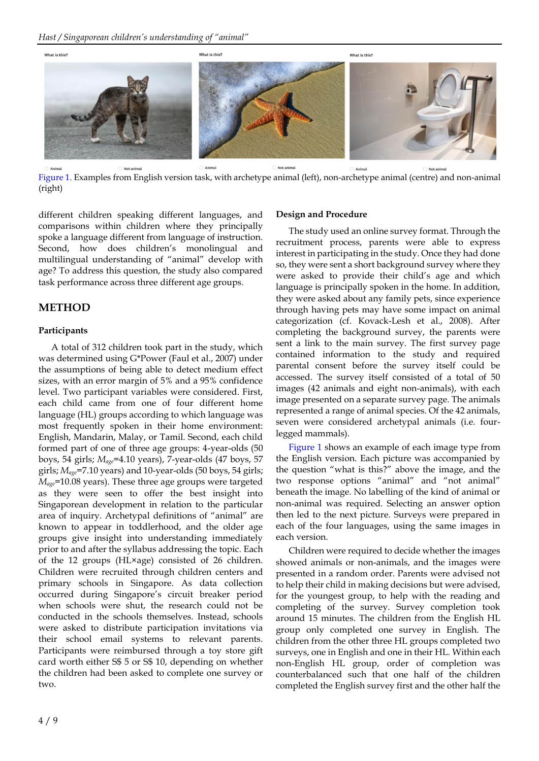

Figure 1. Examples from English version task, with archetype animal (left), non-archetype animal (centre) and non-animal (right)

different children speaking different languages, and comparisons within children where they principally spoke a language different from language of instruction. Second, how does children's monolingual and multilingual understanding of "animal" develop with age? To address this question, the study also compared task performance across three different age groups.

## **METHOD**

### **Participants**

A total of 312 children took part in the study, which was determined using G\*Power (Faul et al., 2007) under the assumptions of being able to detect medium effect sizes, with an error margin of 5% and a 95% confidence level. Two participant variables were considered. First, each child came from one of four different home language (HL) groups according to which language was most frequently spoken in their home environment: English, Mandarin, Malay, or Tamil. Second, each child formed part of one of three age groups: 4-year-olds (50 boys, 54 girls; *Mage*=4.10 years), 7-year-olds (47 boys, 57 girls; *Mage*=7.10 years) and 10-year-olds (50 boys, 54 girls; *Mage*=10.08 years). These three age groups were targeted as they were seen to offer the best insight into Singaporean development in relation to the particular area of inquiry. Archetypal definitions of "animal" are known to appear in toddlerhood, and the older age groups give insight into understanding immediately prior to and after the syllabus addressing the topic. Each of the 12 groups (HL×age) consisted of 26 children. Children were recruited through children centers and primary schools in Singapore. As data collection occurred during Singapore's circuit breaker period when schools were shut, the research could not be conducted in the schools themselves. Instead, schools were asked to distribute participation invitations via their school email systems to relevant parents. Participants were reimbursed through a toy store gift card worth either S\$ 5 or S\$ 10, depending on whether the children had been asked to complete one survey or two.

## **Design and Procedure**

The study used an online survey format. Through the recruitment process, parents were able to express interest in participating in the study. Once they had done so, they were sent a short background survey where they were asked to provide their child's age and which language is principally spoken in the home. In addition, they were asked about any family pets, since experience through having pets may have some impact on animal categorization (cf. Kovack-Lesh et al., 2008). After completing the background survey, the parents were sent a link to the main survey. The first survey page contained information to the study and required parental consent before the survey itself could be accessed. The survey itself consisted of a total of 50 images (42 animals and eight non-animals), with each image presented on a separate survey page. The animals represented a range of animal species. Of the 42 animals, seven were considered archetypal animals (i.e. fourlegged mammals).

Figure 1 shows an example of each image type from the English version. Each picture was accompanied by the question "what is this?" above the image, and the two response options "animal" and "not animal" beneath the image. No labelling of the kind of animal or non-animal was required. Selecting an answer option then led to the next picture. Surveys were prepared in each of the four languages, using the same images in each version.

Children were required to decide whether the images showed animals or non-animals, and the images were presented in a random order. Parents were advised not to help their child in making decisions but were advised, for the youngest group, to help with the reading and completing of the survey. Survey completion took around 15 minutes. The children from the English HL group only completed one survey in English. The children from the other three HL groups completed two surveys, one in English and one in their HL. Within each non-English HL group, order of completion was counterbalanced such that one half of the children completed the English survey first and the other half the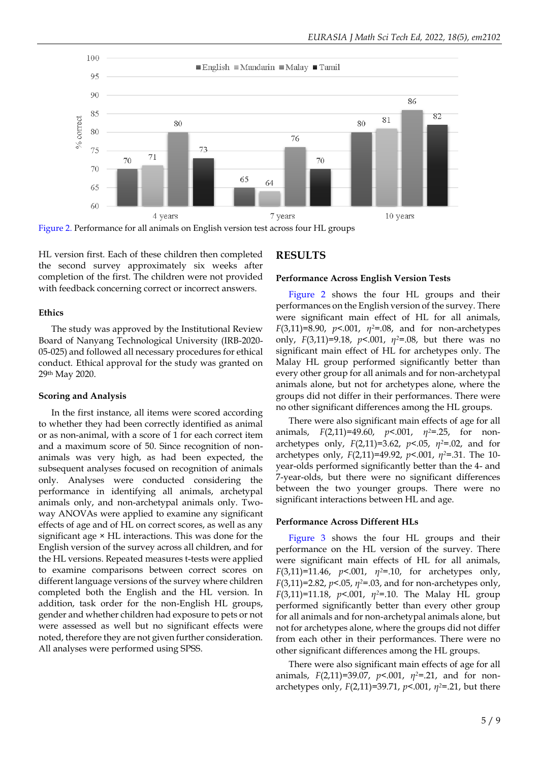

Figure 2. Performance for all animals on English version test across four HL groups

HL version first. Each of these children then completed the second survey approximately six weeks after completion of the first. The children were not provided with feedback concerning correct or incorrect answers.

#### **Ethics**

The study was approved by the Institutional Review Board of Nanyang Technological University (IRB-2020- 05-025) and followed all necessary procedures for ethical conduct. Ethical approval for the study was granted on 29th May 2020.

### **Scoring and Analysis**

In the first instance, all items were scored according to whether they had been correctly identified as animal or as non-animal, with a score of 1 for each correct item and a maximum score of 50. Since recognition of nonanimals was very high, as had been expected, the subsequent analyses focused on recognition of animals only. Analyses were conducted considering the performance in identifying all animals, archetypal animals only, and non-archetypal animals only. Twoway ANOVAs were applied to examine any significant effects of age and of HL on correct scores, as well as any significant age × HL interactions. This was done for the English version of the survey across all children, and for the HL versions. Repeated measures t-tests were applied to examine comparisons between correct scores on different language versions of the survey where children completed both the English and the HL version. In addition, task order for the non-English HL groups, gender and whether children had exposure to pets or not were assessed as well but no significant effects were noted, therefore they are not given further consideration. All analyses were performed using SPSS.

## **RESULTS**

#### **Performance Across English Version Tests**

Figure 2 shows the four HL groups and their performances on the English version of the survey. There were significant main effect of HL for all animals, *F*(3,11)=8.90, *p*<.001, *η2*=.08, and for non-archetypes only, *F*(3,11)=9.18, *p*<.001, *η2*=.08, but there was no significant main effect of HL for archetypes only. The Malay HL group performed significantly better than every other group for all animals and for non-archetypal animals alone, but not for archetypes alone, where the groups did not differ in their performances. There were no other significant differences among the HL groups.

There were also significant main effects of age for all animals, *F*(2,11)=49.60, *p*<.001, *η2*=.25, for nonarchetypes only, *F*(2,11)=3.62, *p*<.05, *η2*=.02, and for archetypes only, *F*(2,11)=49.92, *p*<.001, *η2*=.31. The 10 year-olds performed significantly better than the 4- and 7-year-olds, but there were no significant differences between the two younger groups. There were no significant interactions between HL and age.

### **Performance Across Different HLs**

Figure 3 shows the four HL groups and their performance on the HL version of the survey. There were significant main effects of HL for all animals, *F*(3,11)=11.46, *p*<.001, *η2*=.10, for archetypes only, *F*(3,11)=2.82, *p*<.05, *η2*=.03, and for non-archetypes only, *F*(3,11)=11.18, *p*<.001, *η2*=.10. The Malay HL group performed significantly better than every other group for all animals and for non-archetypal animals alone, but not for archetypes alone, where the groups did not differ from each other in their performances. There were no other significant differences among the HL groups.

There were also significant main effects of age for all animals, *F*(2,11)=39.07, *p*<.001, *η2*=.21, and for nonarchetypes only, *F*(2,11)=39.71, *p*<.001, *η2*=.21, but there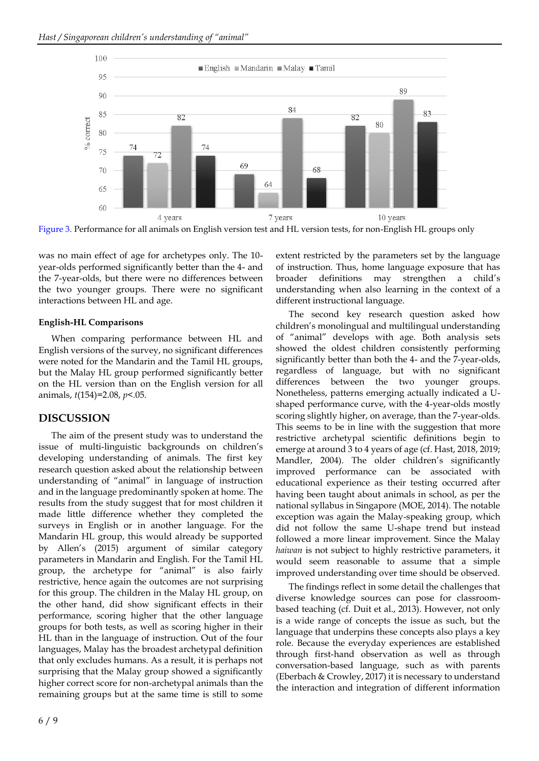

Figure 3. Performance for all animals on English version test and HL version tests, for non-English HL groups only

was no main effect of age for archetypes only. The 10 year-olds performed significantly better than the 4- and the 7-year-olds, but there were no differences between the two younger groups. There were no significant interactions between HL and age.

## **English-HL Comparisons**

When comparing performance between HL and English versions of the survey, no significant differences were noted for the Mandarin and the Tamil HL groups, but the Malay HL group performed significantly better on the HL version than on the English version for all animals, *t*(154)=2.08, *p*<.05.

# **DISCUSSION**

The aim of the present study was to understand the issue of multi-linguistic backgrounds on children's developing understanding of animals. The first key research question asked about the relationship between understanding of "animal" in language of instruction and in the language predominantly spoken at home. The results from the study suggest that for most children it made little difference whether they completed the surveys in English or in another language. For the Mandarin HL group, this would already be supported by Allen's (2015) argument of similar category parameters in Mandarin and English. For the Tamil HL group, the archetype for "animal" is also fairly restrictive, hence again the outcomes are not surprising for this group. The children in the Malay HL group, on the other hand, did show significant effects in their performance, scoring higher that the other language groups for both tests, as well as scoring higher in their HL than in the language of instruction. Out of the four languages, Malay has the broadest archetypal definition that only excludes humans. As a result, it is perhaps not surprising that the Malay group showed a significantly higher correct score for non-archetypal animals than the remaining groups but at the same time is still to some extent restricted by the parameters set by the language of instruction. Thus, home language exposure that has broader definitions may strengthen a child's understanding when also learning in the context of a different instructional language.

The second key research question asked how children's monolingual and multilingual understanding of "animal" develops with age. Both analysis sets showed the oldest children consistently performing significantly better than both the 4- and the 7-year-olds, regardless of language, but with no significant differences between the two younger groups. Nonetheless, patterns emerging actually indicated a Ushaped performance curve, with the 4-year-olds mostly scoring slightly higher, on average, than the 7-year-olds. This seems to be in line with the suggestion that more restrictive archetypal scientific definitions begin to emerge at around 3 to 4 years of age (cf. Hast, 2018, 2019; Mandler, 2004). The older children's significantly improved performance can be associated with educational experience as their testing occurred after having been taught about animals in school, as per the national syllabus in Singapore (MOE, 2014). The notable exception was again the Malay-speaking group, which did not follow the same U-shape trend but instead followed a more linear improvement. Since the Malay *haiwan* is not subject to highly restrictive parameters, it would seem reasonable to assume that a simple improved understanding over time should be observed.

The findings reflect in some detail the challenges that diverse knowledge sources can pose for classroombased teaching (cf. Duit et al., 2013). However, not only is a wide range of concepts the issue as such, but the language that underpins these concepts also plays a key role. Because the everyday experiences are established through first-hand observation as well as through conversation-based language, such as with parents (Eberbach & Crowley, 2017) it is necessary to understand the interaction and integration of different information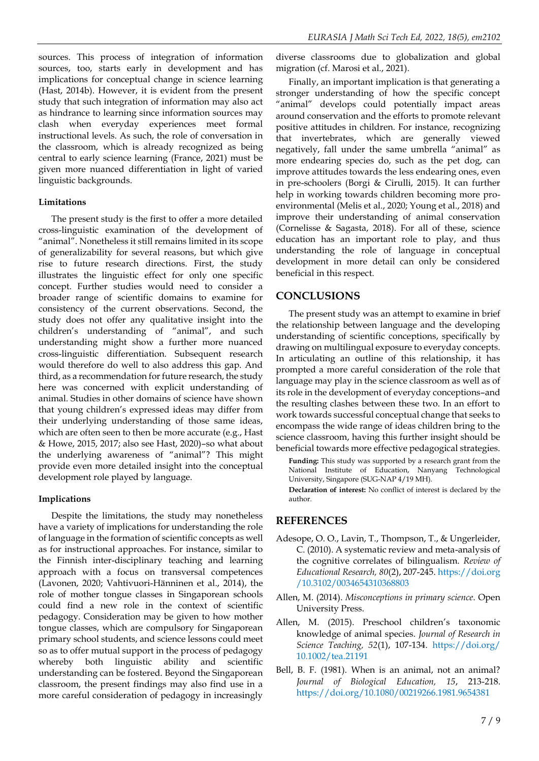sources. This process of integration of information sources, too, starts early in development and has implications for conceptual change in science learning (Hast, 2014b). However, it is evident from the present study that such integration of information may also act as hindrance to learning since information sources may clash when everyday experiences meet formal instructional levels. As such, the role of conversation in the classroom, which is already recognized as being central to early science learning (France, 2021) must be given more nuanced differentiation in light of varied linguistic backgrounds.

#### **Limitations**

The present study is the first to offer a more detailed cross-linguistic examination of the development of "animal". Nonetheless it still remains limited in its scope of generalizability for several reasons, but which give rise to future research directions. First, the study illustrates the linguistic effect for only one specific concept. Further studies would need to consider a broader range of scientific domains to examine for consistency of the current observations. Second, the study does not offer any qualitative insight into the children's understanding of "animal", and such understanding might show a further more nuanced cross-linguistic differentiation. Subsequent research would therefore do well to also address this gap. And third, as a recommendation for future research, the study here was concerned with explicit understanding of animal. Studies in other domains of science have shown that young children's expressed ideas may differ from their underlying understanding of those same ideas, which are often seen to then be more accurate (e.g., Hast & Howe, 2015, 2017; also see Hast, 2020)–so what about the underlying awareness of "animal"? This might provide even more detailed insight into the conceptual development role played by language.

### **Implications**

Despite the limitations, the study may nonetheless have a variety of implications for understanding the role of language in the formation of scientific concepts as well as for instructional approaches. For instance, similar to the Finnish inter-disciplinary teaching and learning approach with a focus on transversal competences (Lavonen, 2020; Vahtivuori-Hänninen et al., 2014), the role of mother tongue classes in Singaporean schools could find a new role in the context of scientific pedagogy. Consideration may be given to how mother tongue classes, which are compulsory for Singaporean primary school students, and science lessons could meet so as to offer mutual support in the process of pedagogy whereby both linguistic ability and scientific understanding can be fostered. Beyond the Singaporean classroom, the present findings may also find use in a more careful consideration of pedagogy in increasingly diverse classrooms due to globalization and global migration (cf. Marosi et al., 2021).

Finally, an important implication is that generating a stronger understanding of how the specific concept "animal" develops could potentially impact areas around conservation and the efforts to promote relevant positive attitudes in children. For instance, recognizing that invertebrates, which are generally viewed negatively, fall under the same umbrella "animal" as more endearing species do, such as the pet dog, can improve attitudes towards the less endearing ones, even in pre-schoolers (Borgi & Cirulli, 2015). It can further help in working towards children becoming more proenvironmental (Melis et al., 2020; Young et al., 2018) and improve their understanding of animal conservation (Cornelisse & Sagasta, 2018). For all of these, science education has an important role to play, and thus understanding the role of language in conceptual development in more detail can only be considered beneficial in this respect.

## **CONCLUSIONS**

The present study was an attempt to examine in brief the relationship between language and the developing understanding of scientific conceptions, specifically by drawing on multilingual exposure to everyday concepts. In articulating an outline of this relationship, it has prompted a more careful consideration of the role that language may play in the science classroom as well as of its role in the development of everyday conceptions–and the resulting clashes between these two. In an effort to work towards successful conceptual change that seeks to encompass the wide range of ideas children bring to the science classroom, having this further insight should be beneficial towards more effective pedagogical strategies.

**Funding:** This study was supported by a research grant from the National Institute of Education, Nanyang Technological University, Singapore (SUG-NAP 4/19 MH).

**Declaration of interest:** No conflict of interest is declared by the author.

## **REFERENCES**

- Adesope, O. O., Lavin, T., Thompson, T., & Ungerleider, C. (2010). A systematic review and meta-analysis of the cognitive correlates of bilingualism. *Review of Educational Research, 80*(2), 207-245[. https://doi.org](https://doi.org/10.3102/0034654310368803) [/10.3102/0034654310368803](https://doi.org/10.3102/0034654310368803)
- Allen, M. (2014). *Misconceptions in primary science*. Open University Press.
- Allen, M. (2015). Preschool children's taxonomic knowledge of animal species. *Journal of Research in Science Teaching, 52*(1), 107-134. [https://doi.org/](https://doi.org/10.1002/tea.21191) [10.1002/tea.21191](https://doi.org/10.1002/tea.21191)
- Bell, B. F. (1981). When is an animal, not an animal? *Journal of Biological Education, 15*, 213-218. <https://doi.org/10.1080/00219266.1981.9654381>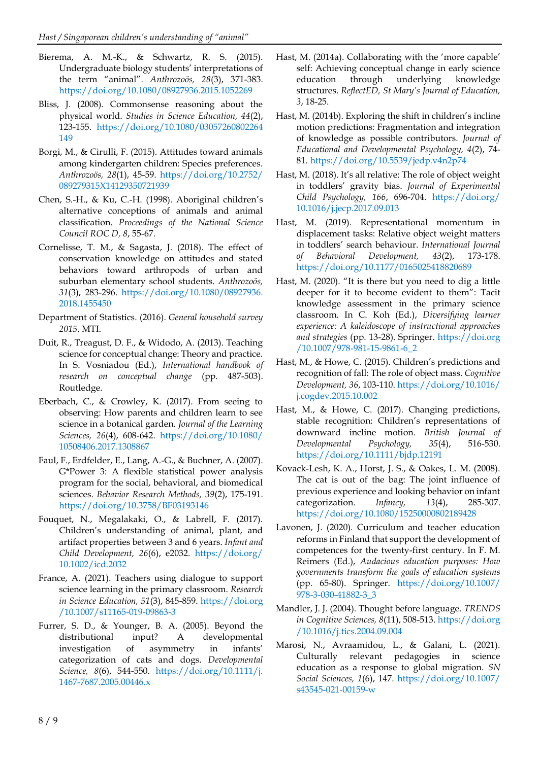- Bierema, A. M.-K., & Schwartz, R. S. (2015). Undergraduate biology students' interpretations of the term "animal". *Anthrozoös, 28*(3), 371-383. <https://doi.org/10.1080/08927936.2015.1052269>
- Bliss, J. (2008). Commonsense reasoning about the physical world. *Studies in Science Education, 44*(2), 123-155. [https://doi.org/10.1080/03057260802264](https://doi.org/10.1080/03057260802264149) [149](https://doi.org/10.1080/03057260802264149)
- Borgi, M., & Cirulli, F. (2015). Attitudes toward animals among kindergarten children: Species preferences. *Anthrozoös, 28*(1), 45-59. [https://doi.org/10.2752/](https://doi.org/10.2752/089279315X14129350721939) [089279315X14129350721939](https://doi.org/10.2752/089279315X14129350721939)
- Chen, S.-H., & Ku, C.-H. (1998). Aboriginal children's alternative conceptions of animals and animal classification. *Proceedings of the National Science Council ROC D, 8*, 55-67.
- Cornelisse, T. M., & Sagasta, J. (2018). The effect of conservation knowledge on attitudes and stated behaviors toward arthropods of urban and suburban elementary school students. *Anthrozoös, 31*(3), 283-296. [https://doi.org/10.1080/08927936.](https://doi.org/10.1080/08927936.2018.1455450) [2018.1455450](https://doi.org/10.1080/08927936.2018.1455450)
- Department of Statistics. (2016). *General household survey 2015*. MTI.
- Duit, R., Treagust, D. F., & Widodo, A. (2013). Teaching science for conceptual change: Theory and practice. In S. Vosniadou (Ed.), *International handbook of research on conceptual change* (pp. 487-503). Routledge.
- Eberbach, C., & Crowley, K. (2017). From seeing to observing: How parents and children learn to see science in a botanical garden. *Journal of the Learning Sciences, 26*(4), 608-642. [https://doi.org/10.1080/](https://doi.org/10.1080/10508406.2017.1308867) [10508406.2017.1308867](https://doi.org/10.1080/10508406.2017.1308867)
- Faul, F., Erdfelder, E., Lang, A.-G., & Buchner, A. (2007). G\*Power 3: A flexible statistical power analysis program for the social, behavioral, and biomedical sciences. *Behavior Research Methods, 39*(2), 175-191. <https://doi.org/10.3758/BF03193146>
- Fouquet, N., Megalakaki, O., & Labrell, F. (2017). Children's understanding of animal, plant, and artifact properties between 3 and 6 years. *Infant and Child Development, 26*(6), e2032. [https://doi.org/](https://doi.org/10.1002/icd.2032) [10.1002/icd.2032](https://doi.org/10.1002/icd.2032)
- France, A. (2021). Teachers using dialogue to support science learning in the primary classroom. *Research in Science Education, 51*(3), 845-859. [https://doi.org](https://doi.org/10.1007/s11165-019-09863-3) [/10.1007/s11165-019-09863-3](https://doi.org/10.1007/s11165-019-09863-3)
- Furrer, S. D., & Younger, B. A. (2005). Beyond the distributional input? A developmental investigation of asymmetry in infants' categorization of cats and dogs. *Developmental Science, 8*(6), 544-550. [https://doi.org/10.1111/j.](https://doi.org/10.1111/j.1467-7687.2005.00446.x) [1467-7687.2005.00446.x](https://doi.org/10.1111/j.1467-7687.2005.00446.x)
- Hast, M. (2014a). Collaborating with the 'more capable' self: Achieving conceptual change in early science education through underlying knowledge structures. *ReflectED, St Mary's Journal of Education, 3*, 18-25.
- Hast, M. (2014b). Exploring the shift in children's incline motion predictions: Fragmentation and integration of knowledge as possible contributors. *Journal of Educational and Developmental Psychology, 4*(2), 74- 81[. https://doi.org/10.5539/jedp.v4n2p74](https://doi.org/10.5539/jedp.v4n2p74)
- Hast, M. (2018). It's all relative: The role of object weight in toddlers' gravity bias. *Journal of Experimental Child Psychology, 166*, 696-704. [https://doi.org/](https://doi.org/10.1016/j.jecp.2017.09.013) [10.1016/j.jecp.2017.09.013](https://doi.org/10.1016/j.jecp.2017.09.013)
- Hast, M. (2019). Representational momentum in displacement tasks: Relative object weight matters in toddlers' search behaviour. *International Journal of Behavioral Development, 43*(2), 173-178. <https://doi.org/10.1177/0165025418820689>
- Hast, M. (2020). "It is there but you need to dig a little deeper for it to become evident to them": Tacit knowledge assessment in the primary science classroom. In C. Koh (Ed.), *Diversifying learner experience: A kaleidoscope of instructional approaches and strategies* (pp. 13-28). Springer. [https://doi.org](https://doi.org/10.1007/978-981-15-9861-6_2) [/10.1007/978-981-15-9861-6\\_2](https://doi.org/10.1007/978-981-15-9861-6_2)
- Hast, M., & Howe, C. (2015). Children's predictions and recognition of fall: The role of object mass. *Cognitive Development, 36*, 103-110. [https://doi.org/10.1016/](https://doi.org/10.1016/j.cogdev.2015.10.002) [j.cogdev.2015.10.002](https://doi.org/10.1016/j.cogdev.2015.10.002)
- Hast, M., & Howe, C. (2017). Changing predictions, stable recognition: Children's representations of downward incline motion. *British Journal of Developmental Psychology, 35*(4), 516-530. <https://doi.org/10.1111/bjdp.12191>
- Kovack-Lesh, K. A., Horst, J. S., & Oakes, L. M. (2008). The cat is out of the bag: The joint influence of previous experience and looking behavior on infant categorization. *Infancy, 13*(4), 285-307. <https://doi.org/10.1080/15250000802189428>
- Lavonen, J. (2020). Curriculum and teacher education reforms in Finland that support the development of competences for the twenty-first century. In F. M. Reimers (Ed.), *Audacious education purposes: How governments transform the goals of education systems* (pp. 65-80). Springer. [https://doi.org/10.1007/](https://doi.org/10.1007/978-3-030-41882-3_3) [978-3-030-41882-3\\_3](https://doi.org/10.1007/978-3-030-41882-3_3)
- Mandler, J. J. (2004). Thought before language. *TRENDS in Cognitive Sciences, 8*(11), 508-513[. https://doi.org](https://doi.org/10.1016/j.tics.2004.09.004) [/10.1016/j.tics.2004.09.004](https://doi.org/10.1016/j.tics.2004.09.004)
- Marosi, N., Avraamidou, L., & Galani, L. (2021). Culturally relevant pedagogies in science education as a response to global migration. *SN Social Sciences, 1*(6), 147. [https://doi.org/10.1007/](https://doi.org/10.1007/s43545-021-00159-w) [s43545-021-00159-w](https://doi.org/10.1007/s43545-021-00159-w)